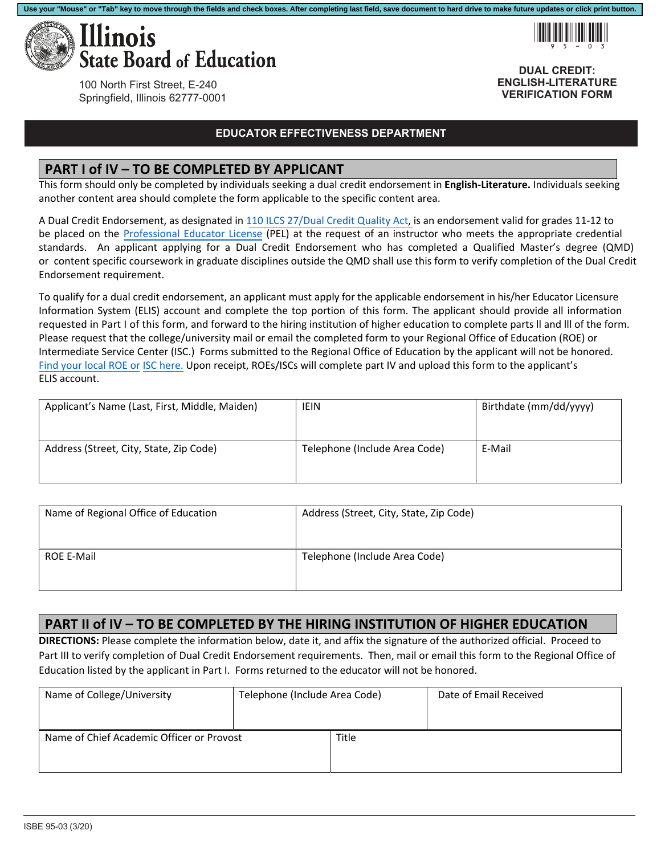

100 North First Street, E-240 Springfield, Illinois 62777-0001

#### **EDUCATOR EFFECTIVENESS DEPARTMENT**

### **PART I of IV – TO BE COMPLETED BY APPLICANT**

This form should only be completed by individuals seeking a dual credit endorsement in **English-Literature.** Individuals seeking another content area should complete the form applicable to the specific content area.

A Dual Credit Endorsement, as designated in 110 ILCS 27/Dual Credit Quality Act, is an endorsement valid for grades 11‐12 to be placed on the Professional Educator License (PEL) at the request of an instructor who meets the appropriate credential standards. An applicant applying for a Dual Credit Endorsement who has completed a Qualified Master's degree (QMD) or content specific coursework in graduate disciplines outside the QMD shall use this form to verify completion of the Dual Credit Endorsement requirement.

To qualify for a dual credit endorsement, an applicant must apply for the applicable endorsement in his/her Educator Licensure Information System (ELIS) account and complete the top portion of this form. The applicant should provide all information requested in Part I of this form, and forward to the hiring institution of higher education to complete parts ll and lll of the form. Please request that the college/university mail or email the completed form to your Regional Office of Education (ROE) or Intermediate Service Center (ISC.) Forms submitted to the Regional Office of Education by the applicant will not be honored. Find your local ROE or ISC here. Upon receipt, ROEs/ISCs will complete part IV and upload this form to the applicant's ELIS account.

| Applicant's Name (Last, First, Middle, Maiden) | <b>IEIN</b>                   | Birthdate (mm/dd/yyyy) |
|------------------------------------------------|-------------------------------|------------------------|
| Address (Street, City, State, Zip Code)        | Telephone (Include Area Code) | E-Mail                 |

| Name of Regional Office of Education | Address (Street, City, State, Zip Code) |
|--------------------------------------|-----------------------------------------|
| ROE E-Mail                           | Telephone (Include Area Code)           |

### **PART II of IV – TO BE COMPLETED BY THE HIRING INSTITUTION OF HIGHER EDUCATION**

**DIRECTIONS:** Please complete the information below, date it, and affix the signature of the authorized official. Proceed to Part III to verify completion of Dual Credit Endorsement requirements. Then, mail or email this form to the Regional Office of Education listed by the applicant in Part I. Forms returned to the educator will not be honored.

| Name of College/University                | Telephone (Include Area Code) |       | Date of Email Received |
|-------------------------------------------|-------------------------------|-------|------------------------|
|                                           |                               |       |                        |
| Name of Chief Academic Officer or Provost |                               | Title |                        |
|                                           |                               |       |                        |



**DUAL CREDIT: ENGLISH-LITERATURE VERIFICATION FORM**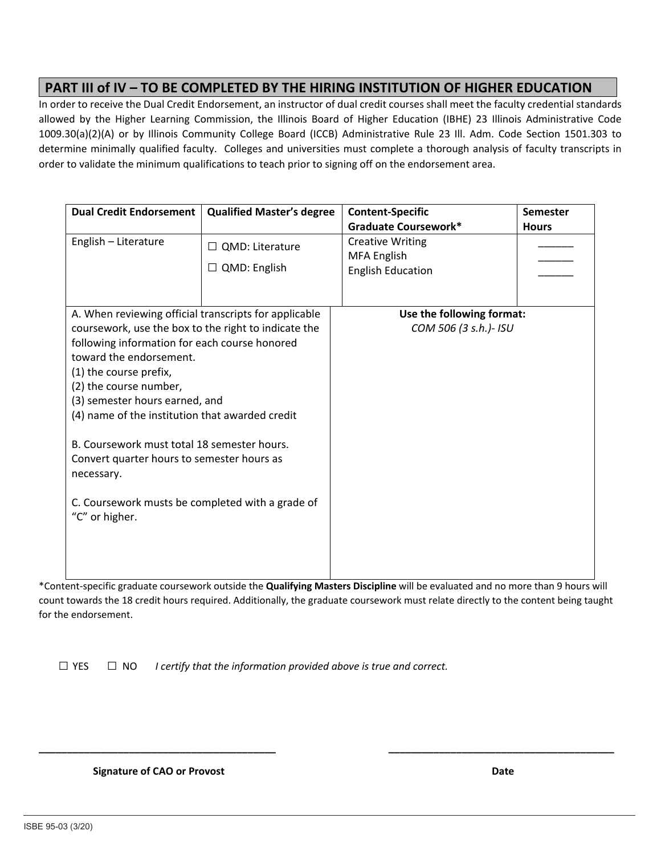## **PART III of IV – TO BE COMPLETED BY THE HIRING INSTITUTION OF HIGHER EDUCATION**

In order to receive the Dual Credit Endorsement, an instructor of dual credit courses shall meet the faculty credential standards allowed by the Higher Learning Commission, the Illinois Board of Higher Education (IBHE) 23 Illinois Administrative Code 1009.30(a)(2)(A) or by Illinois Community College Board (ICCB) Administrative Rule 23 Ill. Adm. Code Section 1501.303 to determine minimally qualified faculty. Colleges and universities must complete a thorough analysis of faculty transcripts in order to validate the minimum qualifications to teach prior to signing off on the endorsement area.

| <b>Dual Credit Endorsement</b>                                                                                                                                                                                                                                                                                                                                                                                                                             | <b>Qualified Master's degree</b>              | <b>Content-Specific</b>                                                   | Semester     |
|------------------------------------------------------------------------------------------------------------------------------------------------------------------------------------------------------------------------------------------------------------------------------------------------------------------------------------------------------------------------------------------------------------------------------------------------------------|-----------------------------------------------|---------------------------------------------------------------------------|--------------|
|                                                                                                                                                                                                                                                                                                                                                                                                                                                            |                                               | Graduate Coursework*                                                      | <b>Hours</b> |
| English - Literature                                                                                                                                                                                                                                                                                                                                                                                                                                       | $\Box$ QMD: Literature<br>$\Box$ QMD: English | <b>Creative Writing</b><br><b>MFA English</b><br><b>English Education</b> |              |
| A. When reviewing official transcripts for applicable                                                                                                                                                                                                                                                                                                                                                                                                      |                                               | Use the following format:                                                 |              |
| coursework, use the box to the right to indicate the<br>following information for each course honored<br>toward the endorsement.<br>(1) the course prefix,<br>(2) the course number,<br>(3) semester hours earned, and<br>(4) name of the institution that awarded credit<br>B. Coursework must total 18 semester hours.<br>Convert quarter hours to semester hours as<br>necessary.<br>C. Coursework musts be completed with a grade of<br>"C" or higher. |                                               | COM 506 (3 s.h.)- ISU                                                     |              |

\*Content‐specific graduate coursework outside the **Qualifying Masters Discipline** will be evaluated and no more than 9 hours will count towards the 18 credit hours required. Additionally, the graduate coursework must relate directly to the content being taught for the endorsement.

**\_\_\_\_\_\_\_\_\_\_\_\_\_\_\_\_\_\_\_\_\_\_\_\_\_\_\_\_\_\_\_\_\_\_\_\_\_\_\_\_\_\_ \_\_\_\_\_\_\_\_\_\_\_\_\_\_\_\_\_\_\_\_\_\_\_\_\_\_\_\_\_\_\_\_\_\_\_\_\_\_\_\_** 

 $\Box$  YES  $\Box$  NO *I certify that the information provided above is true and correct.* 

 **Signature of CAO or Provost Date <b>***Signature of CAO or Provost <b>Date <i>CAO*